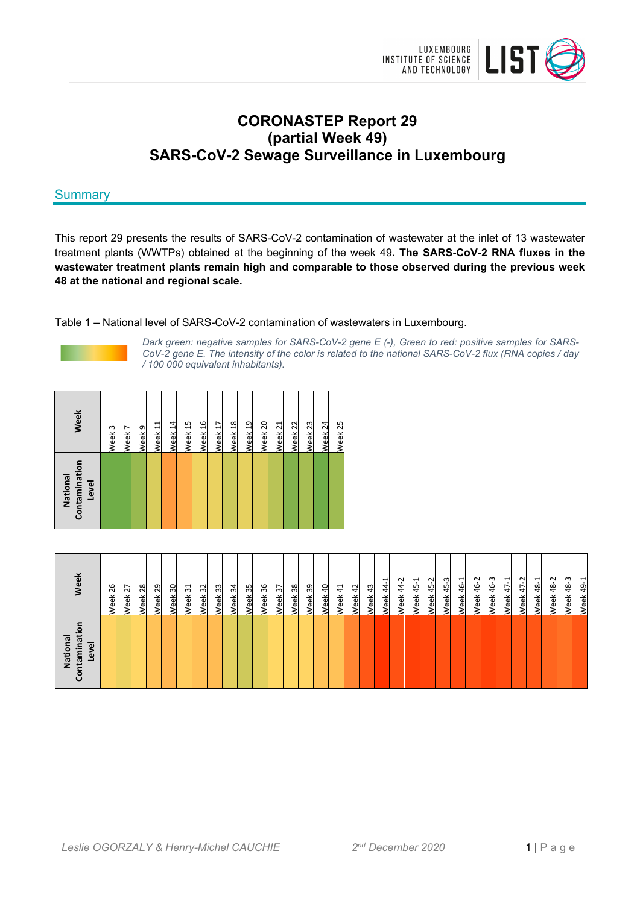

# **CORONASTEP Report 29 (partial Week 49) SARS-CoV-2 Sewage Surveillance in Luxembourg**

# **Summary**

This report 29 presents the results of SARS-CoV-2 contamination of wastewater at the inlet of 13 wastewater treatment plants (WWTPs) obtained at the beginning of the week 49**. The SARS-CoV-2 RNA fluxes in the wastewater treatment plants remain high and comparable to those observed during the previous week 48 at the national and regional scale.** 

Table 1 – National level of SARS-CoV-2 contamination of wastewaters in Luxembourg.



*Dark green: negative samples for SARS-CoV-2 gene E (-), Green to red: positive samples for SARS-CoV-2 gene E. The intensity of the color is related to the national SARS-CoV-2 flux (RNA copies / day / 100 000 equivalent inhabitants).* 

| Contamination<br>National<br>Level | Week               |
|------------------------------------|--------------------|
|                                    | Week 3             |
|                                    | Week 7             |
|                                    | Week <sub>9</sub>  |
|                                    | Week <sub>11</sub> |
|                                    | Week 14            |
|                                    | Week <sub>15</sub> |
|                                    | Week 16            |
|                                    | Week <sub>17</sub> |
|                                    | Week 18            |
|                                    | Week 19            |
|                                    | Week 20            |
|                                    | Week 21            |
|                                    | Week 22            |
|                                    | Week <sub>23</sub> |
|                                    | Week <sub>24</sub> |
|                                    | Week <sub>25</sub> |
|                                    |                    |

| ē<br>National<br>Level<br>έ<br>ज़<br>ਵ<br>වි | Week                                                    |
|----------------------------------------------|---------------------------------------------------------|
|                                              | 26<br><b>Neek</b>                                       |
|                                              | Week 27                                                 |
|                                              | 28<br>Week:                                             |
|                                              | 29<br>Week                                              |
|                                              | 30<br><b>Neek</b>                                       |
|                                              | ನ<br><b>Neek</b>                                        |
|                                              | $\approx$<br><b>Neek</b>                                |
|                                              | 33<br>Week                                              |
|                                              | 34<br>Neek 3                                            |
|                                              | Week 35                                                 |
|                                              | Week 36                                                 |
|                                              | 37<br>Week                                              |
|                                              | 38<br><b>Week</b>                                       |
|                                              | 39<br><b>Neek</b>                                       |
|                                              | $\overline{4}$<br><b>Veek</b>                           |
|                                              | $\frac{1}{4}$<br>Week                                   |
|                                              | Week 42                                                 |
|                                              | Neek 43                                                 |
|                                              | <b>Veek 44-1</b>                                        |
|                                              | 44-2<br>Week                                            |
|                                              | ᅱ<br>45<br>Week                                         |
|                                              | $\sim$<br>$\ddot{4}$<br>Veek                            |
|                                              | ന<br>$\frac{45}{5}$<br>/eek                             |
|                                              | $\mathbf{\overline{u}}$<br>$\frac{6}{4}$<br><b>Veek</b> |
|                                              | 46-2<br>Week                                            |
|                                              | <b>Neek 46-3</b>                                        |
|                                              | Week 47-1                                               |
|                                              | Week 47-2                                               |
|                                              | 48-1<br>Week                                            |
|                                              | 48-2<br><b>Neek</b>                                     |
|                                              | ന<br>$\frac{8}{3}$<br>eek                               |
|                                              | $49 - 1$<br>Week                                        |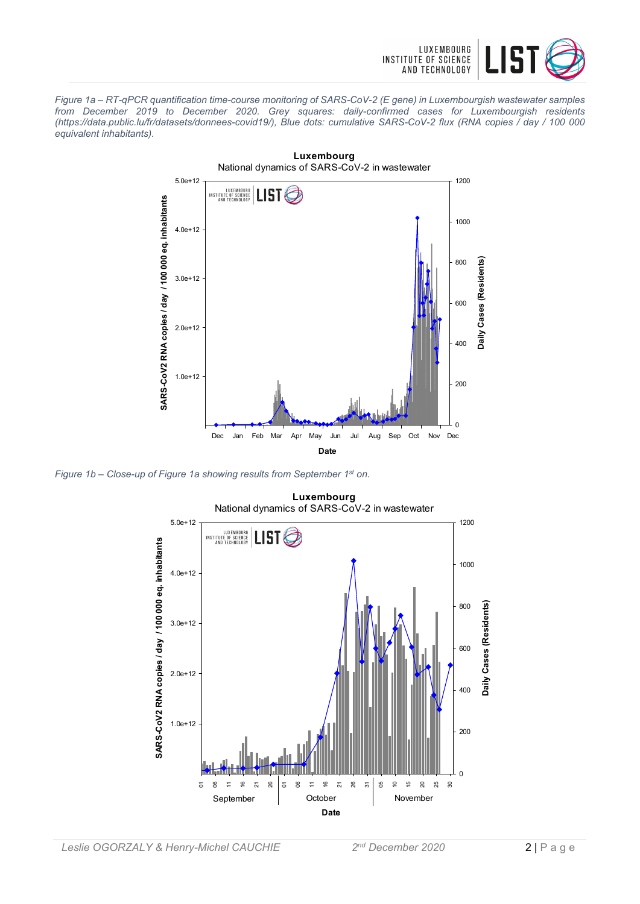

*Figure 1a – RT-qPCR quantification time-course monitoring of SARS-CoV-2 (E gene) in Luxembourgish wastewater samples from December 2019 to December 2020. Grey squares: daily-confirmed cases for Luxembourgish residents (https://data.public.lu/fr/datasets/donnees-covid19/), Blue dots: cumulative SARS-CoV-2 flux (RNA copies / day / 100 000 equivalent inhabitants).* 



*Figure 1b – Close-up of Figure 1a showing results from September 1st on.* 



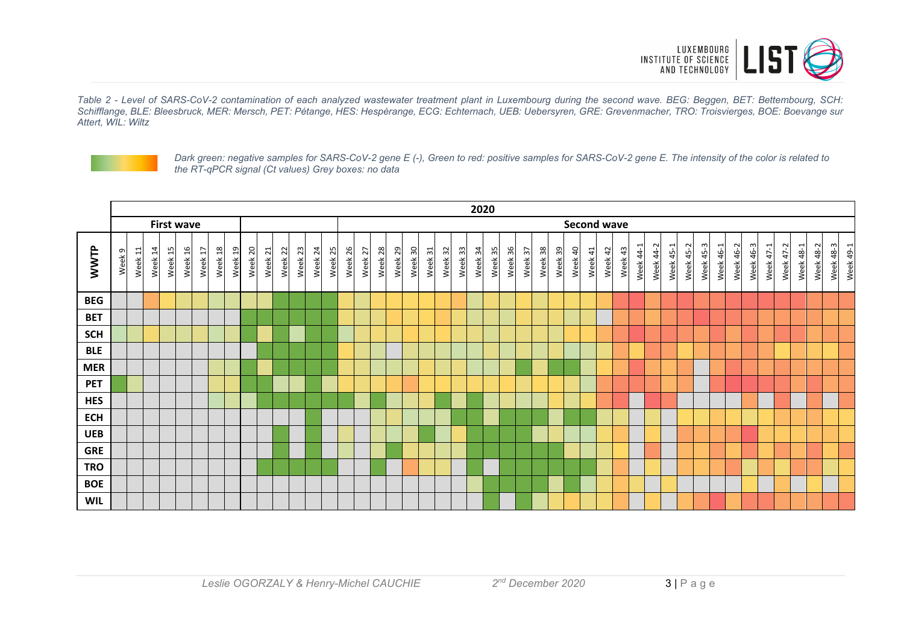

*Table 2 - Level of SARS-CoV-2 contamination of each analyzed wastewater treatment plant in Luxembourg during the second wave. BEG: Beggen, BET: Bettembourg, SCH: Schifflange, BLE: Bleesbruck, MER: Mersch, PET: Pétange, HES: Hespèrange, ECG: Echternach, UEB: Uebersyren, GRE: Grevenmacher, TRO: Troisvierges, BOE: Boevange sur Attert, WIL: Wiltz* 



*Dark green: negative samples for SARS-CoV-2 gene E (-), Green to red: positive samples for SARS-CoV-2 gene E. The intensity of the color is related to the RT-qPCR signal (Ct values) Grey boxes: no data* 

|            | 2020              |               |            |         |         |         |         |         |         |         |            |         |         |         |         |         |         |         |         |            |         |            |         |         |         |         |         |         |         |                        |         |         |                  |           |           |           |           |           |           |           |           |                         |                  |           |           |           |
|------------|-------------------|---------------|------------|---------|---------|---------|---------|---------|---------|---------|------------|---------|---------|---------|---------|---------|---------|---------|---------|------------|---------|------------|---------|---------|---------|---------|---------|---------|---------|------------------------|---------|---------|------------------|-----------|-----------|-----------|-----------|-----------|-----------|-----------|-----------|-------------------------|------------------|-----------|-----------|-----------|
|            | <b>First wave</b> |               |            |         |         |         |         |         |         |         |            |         |         |         |         |         |         |         |         |            |         |            |         |         |         |         |         |         |         | <b>Second wave</b>     |         |         |                  |           |           |           |           |           |           |           |           |                         |                  |           |           |           |
| WWTP       | Week 9            | $\Xi$<br>Week | 14<br>Week | Week 15 | Week 16 | Week 17 | Week 18 | Week 19 | Week 20 | Week 21 | 22<br>Week | Week 23 | Week 24 | Week 25 | Week 26 | Week 27 | Week 28 | Week 29 | Week 30 | 31<br>Week | Week 32 | 33<br>Week | Week 34 | Week 35 | Week 36 | Week 37 | Week 38 | Week 39 | Week 40 | $\frac{41}{2}$<br>Week | Week 42 | Week 43 | $44 - 1$<br>Week | Week 44-2 | Week 45-1 | Week 45-2 | Week 45-3 | Week 46-1 | Week 46-2 | Week 46-3 | Week 47-1 | $\sim$<br>$47-$<br>Week | <b>Week 48-1</b> | Week 48-2 | Week 48-3 | Week 49-1 |
| <b>BEG</b> |                   |               |            |         |         |         |         |         |         |         |            |         |         |         |         |         |         |         |         |            |         |            |         |         |         |         |         |         |         |                        |         |         |                  |           |           |           |           |           |           |           |           |                         |                  |           |           |           |
| <b>BET</b> |                   |               |            |         |         |         |         |         |         |         |            |         |         |         |         |         |         |         |         |            |         |            |         |         |         |         |         |         |         |                        |         |         |                  |           |           |           |           |           |           |           |           |                         |                  |           |           |           |
| <b>SCH</b> |                   |               |            |         |         |         |         |         |         |         |            |         |         |         |         |         |         |         |         |            |         |            |         |         |         |         |         |         |         |                        |         |         |                  |           |           |           |           |           |           |           |           |                         |                  |           |           |           |
| <b>BLE</b> |                   |               |            |         |         |         |         |         |         |         |            |         |         |         |         |         |         |         |         |            |         |            |         |         |         |         |         |         |         |                        |         |         |                  |           |           |           |           |           |           |           |           |                         |                  |           |           |           |
| <b>MER</b> |                   |               |            |         |         |         |         |         |         |         |            |         |         |         |         |         |         |         |         |            |         |            |         |         |         |         |         |         |         |                        |         |         |                  |           |           |           |           |           |           |           |           |                         |                  |           |           |           |
| <b>PET</b> |                   |               |            |         |         |         |         |         |         |         |            |         |         |         |         |         |         |         |         |            |         |            |         |         |         |         |         |         |         |                        |         |         |                  |           |           |           |           |           |           |           |           |                         |                  |           |           |           |
| <b>HES</b> |                   |               |            |         |         |         |         |         |         |         |            |         |         |         |         |         |         |         |         |            |         |            |         |         |         |         |         |         |         |                        |         |         |                  |           |           |           |           |           |           |           |           |                         |                  |           |           |           |
| <b>ECH</b> |                   |               |            |         |         |         |         |         |         |         |            |         |         |         |         |         |         |         |         |            |         |            |         |         |         |         |         |         |         |                        |         |         |                  |           |           |           |           |           |           |           |           |                         |                  |           |           |           |
| <b>UEB</b> |                   |               |            |         |         |         |         |         |         |         |            |         |         |         |         |         |         |         |         |            |         |            |         |         |         |         |         |         |         |                        |         |         |                  |           |           |           |           |           |           |           |           |                         |                  |           |           |           |
| <b>GRE</b> |                   |               |            |         |         |         |         |         |         |         |            |         |         |         |         |         |         |         |         |            |         |            |         |         |         |         |         |         |         |                        |         |         |                  |           |           |           |           |           |           |           |           |                         |                  |           |           |           |
| <b>TRO</b> |                   |               |            |         |         |         |         |         |         |         |            |         |         |         |         |         |         |         |         |            |         |            |         |         |         |         |         |         |         |                        |         |         |                  |           |           |           |           |           |           |           |           |                         |                  |           |           |           |
| <b>BOE</b> |                   |               |            |         |         |         |         |         |         |         |            |         |         |         |         |         |         |         |         |            |         |            |         |         |         |         |         |         |         |                        |         |         |                  |           |           |           |           |           |           |           |           |                         |                  |           |           |           |
| <b>WIL</b> |                   |               |            |         |         |         |         |         |         |         |            |         |         |         |         |         |         |         |         |            |         |            |         |         |         |         |         |         |         |                        |         |         |                  |           |           |           |           |           |           |           |           |                         |                  |           |           |           |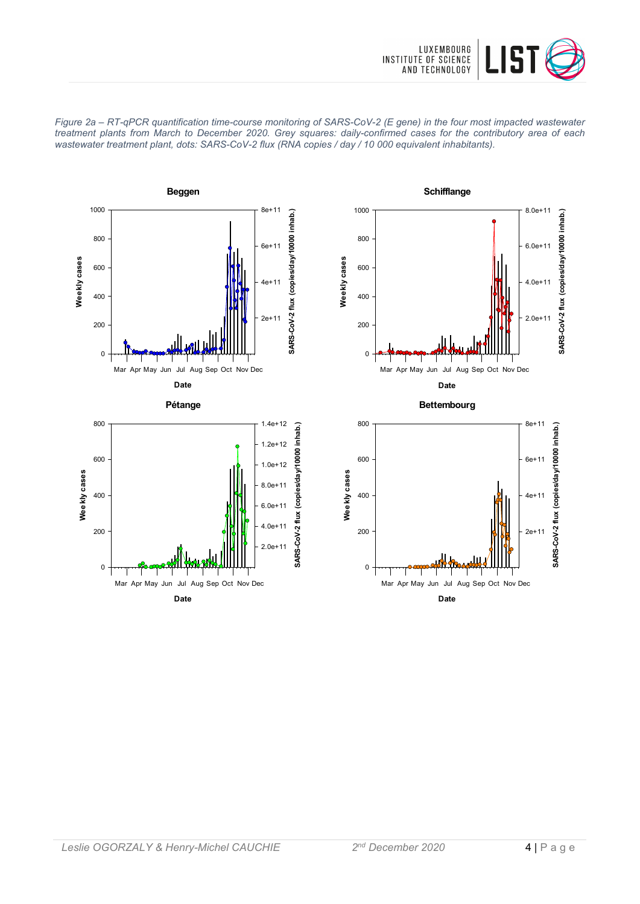





**Date**

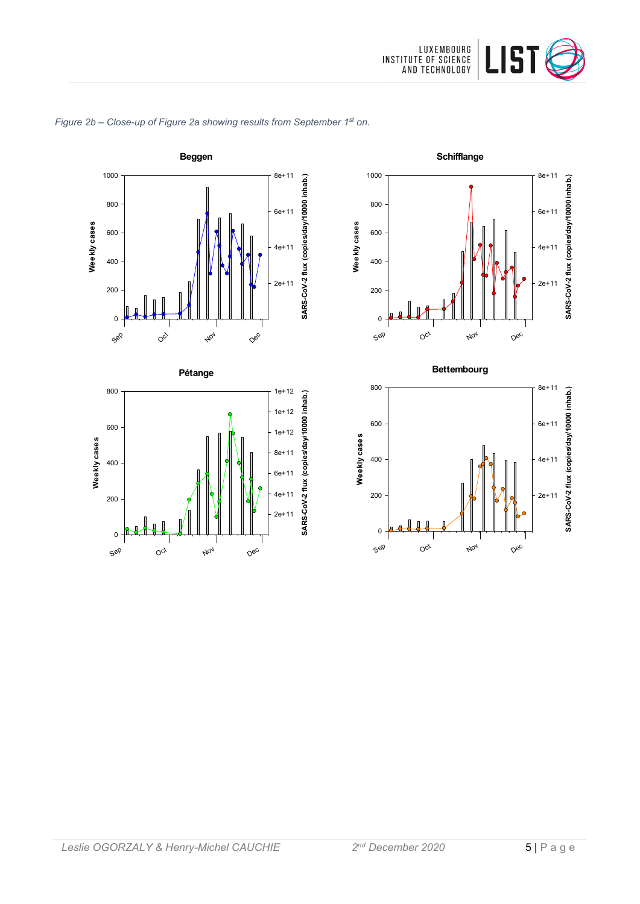



# *Figure 2b – Close-up of Figure 2a showing results from September 1st on.*







Sep

 $O_{C_f}$ 

Nov

Dec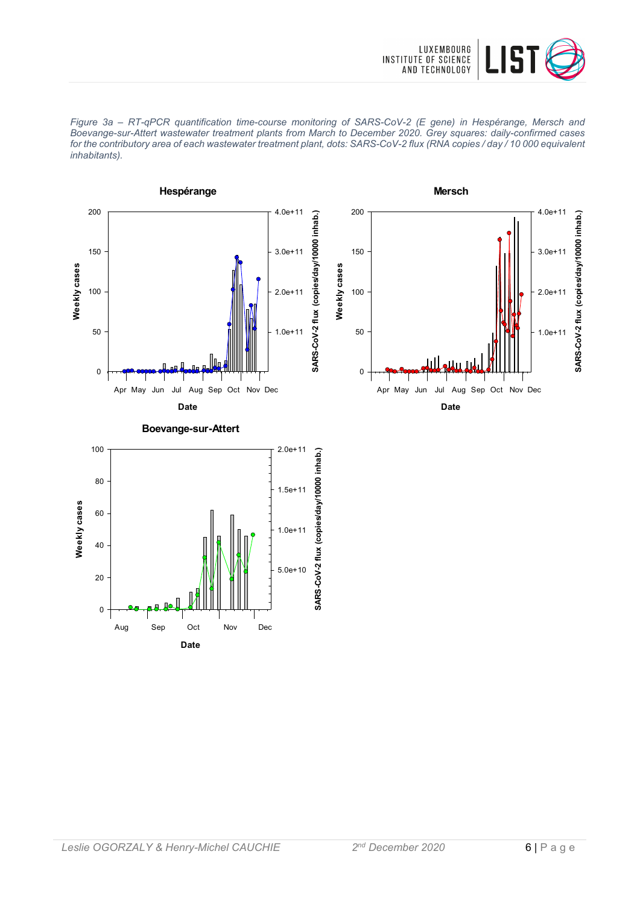





**Date** Aug Sep Oct Nov Dec

0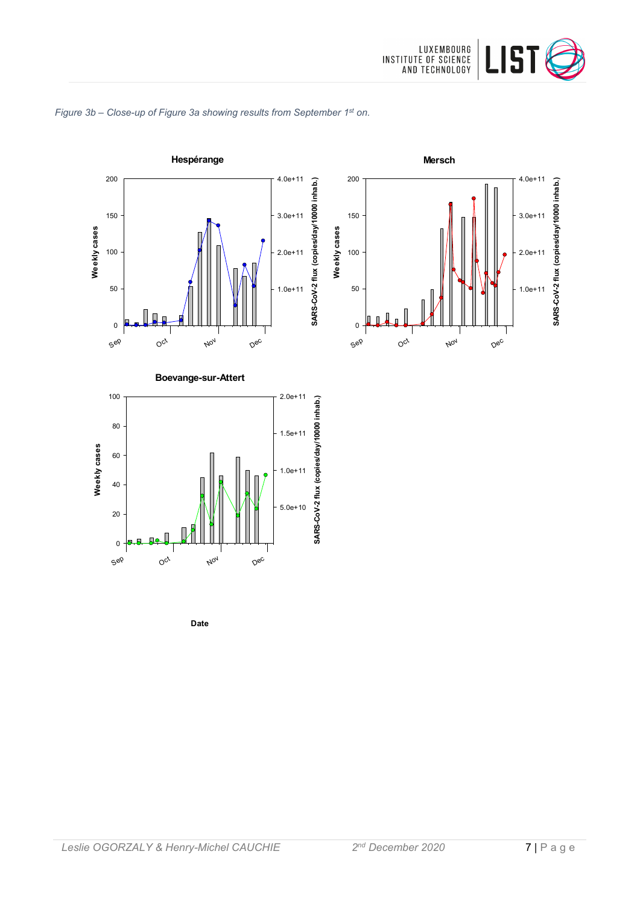

# *Figure 3b – Close-up of Figure 3a showing results from September 1st on.*



**Date**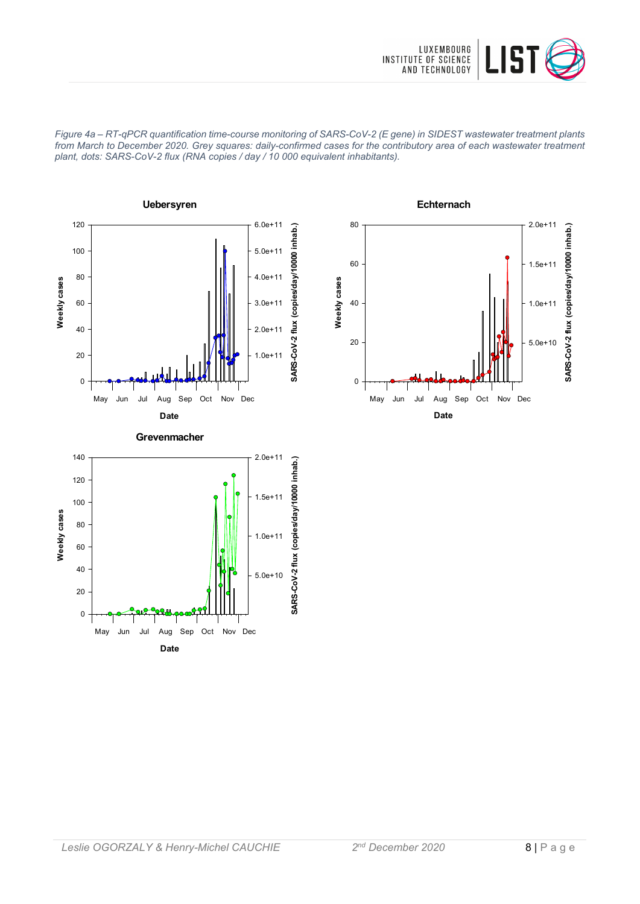

*Figure 4a – RT-qPCR quantification time-course monitoring of SARS-CoV-2 (E gene) in SIDEST wastewater treatment plants from March to December 2020. Grey squares: daily-confirmed cases for the contributory area of each wastewater treatment plant, dots: SARS-CoV-2 flux (RNA copies / day / 10 000 equivalent inhabitants).*





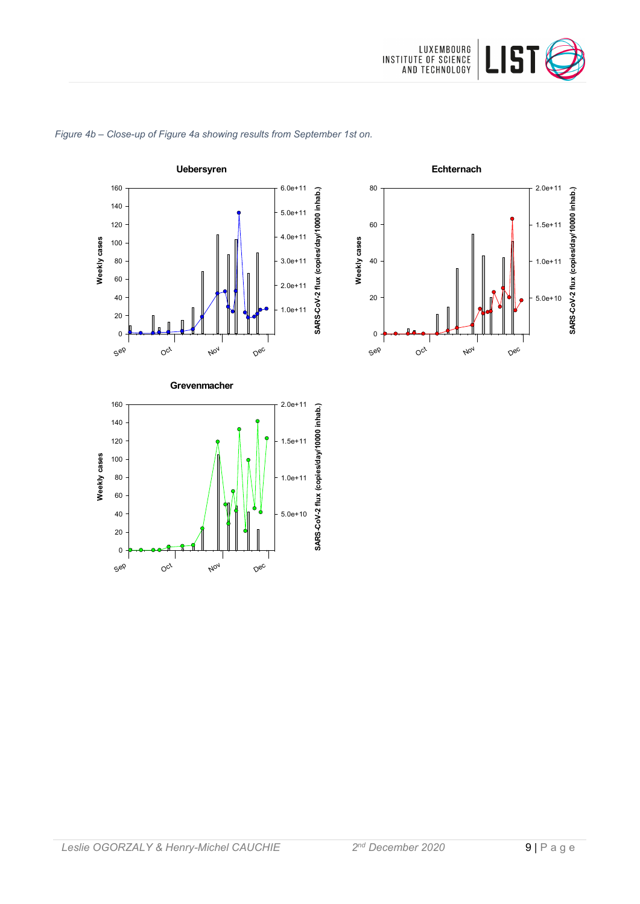



### *Figure 4b – Close-up of Figure 4a showing results from September 1st on.*



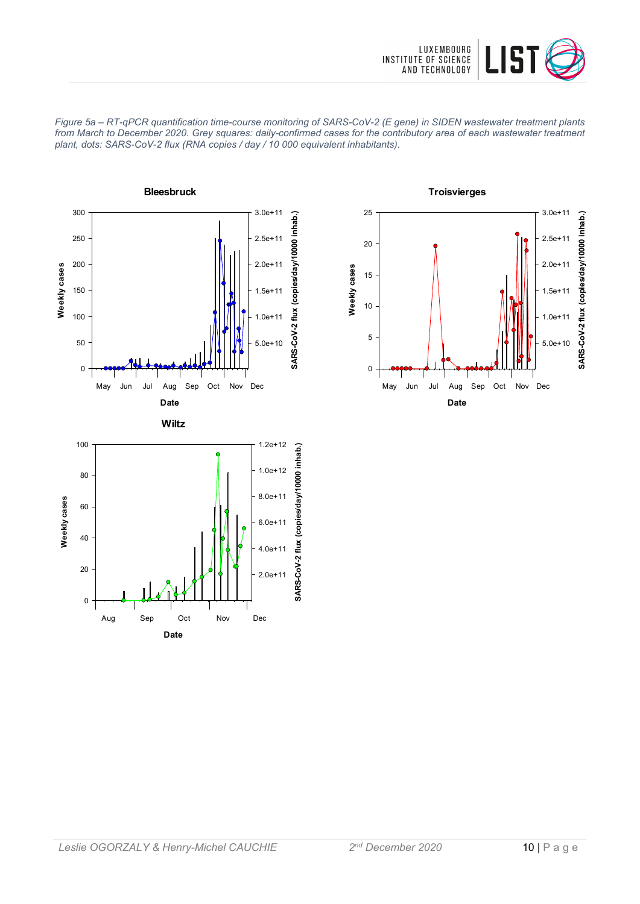







**Date** Aug Sep Oct Nov Dec

2.0e+11

0

20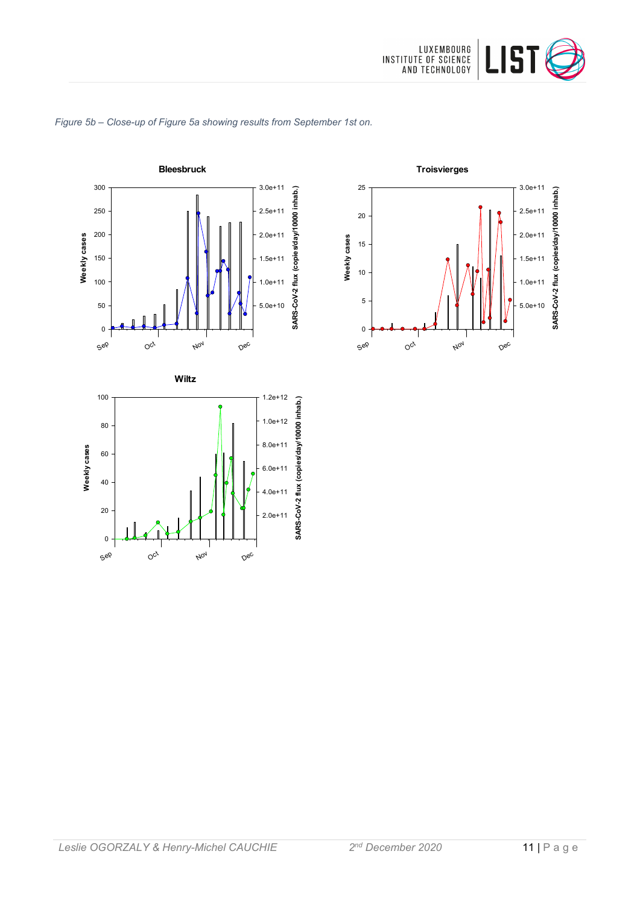



### *Figure 5b – Close-up of Figure 5a showing results from September 1st on.*

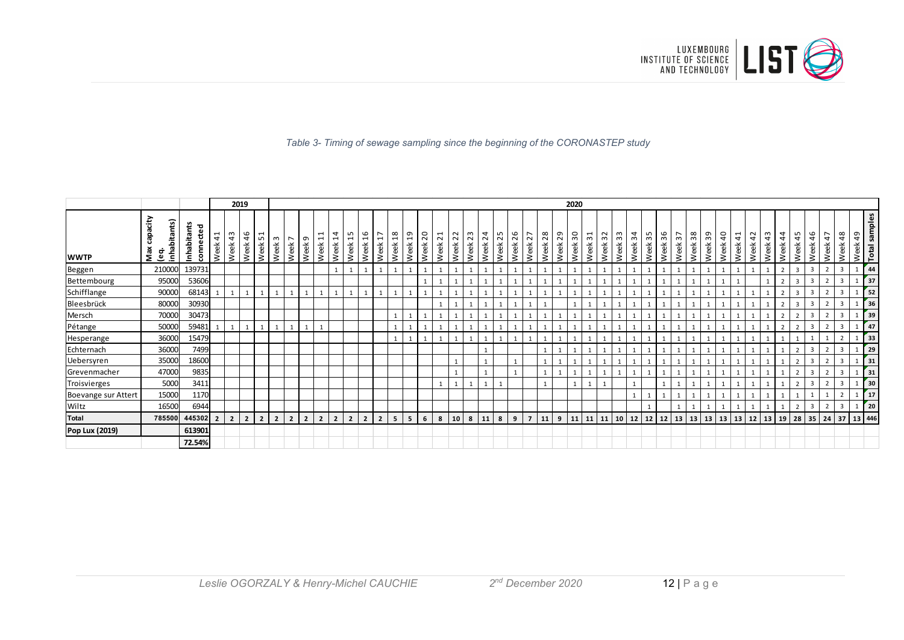

### *Table 3- Timing of sewage sampling since the beginning of the CORONASTEP study*

|                     |                                    |                          |                       |                | 2019           |                |                |                        |                |                                                              |                                       |                                       |                       |                                       |                        |                        |            |            |                          |                  |                         |            |            |                |            |            | 2020                      |                         |      |              |                   |            |            |                                        |            |            |                         |                                       |            |                             |                |                         |              |                |                |                          |               |
|---------------------|------------------------------------|--------------------------|-----------------------|----------------|----------------|----------------|----------------|------------------------|----------------|--------------------------------------------------------------|---------------------------------------|---------------------------------------|-----------------------|---------------------------------------|------------------------|------------------------|------------|------------|--------------------------|------------------|-------------------------|------------|------------|----------------|------------|------------|---------------------------|-------------------------|------|--------------|-------------------|------------|------------|----------------------------------------|------------|------------|-------------------------|---------------------------------------|------------|-----------------------------|----------------|-------------------------|--------------|----------------|----------------|--------------------------|---------------|
| <b>WWTP</b>         | vacity<br>inhabitants)<br>Max<br>ڡ | Inhabitants<br>connected | $\frac{1}{4}$<br>Week | 43<br>Week     | 46<br>Week     | Н<br>5<br>Week | ო<br>Week      | $\overline{ }$<br>Week | G<br>Week      | $\overline{\phantom{0}}$<br>$\overline{\phantom{0}}$<br>Week | 4<br>$\overline{\phantom{0}}$<br>Week | ഗ<br>$\overline{\phantom{0}}$<br>Week | $\frac{6}{1}$<br>Week | ∼<br>$\overline{\phantom{0}}$<br>Week | $\frac{8}{18}$<br>Week | $\overline{a}$<br>Week | 20<br>Week | 21<br>Week | $\sim$<br>$\sim$<br>Week | 23<br>Week       | $\overline{24}$<br>Week | 25<br>Week | 26<br>Week | 27<br>Week     | 28<br>Week | 29<br>Week | $30^{\circ}$<br>Week      | $\frac{51}{32}$<br>Week | Week | Week 33      | 34<br>Week        | 35<br>Week | 36<br>Week | $\overline{ }$<br>$\mathsf{m}$<br>Week | 38<br>Week | 39<br>Week | $\overline{40}$<br>Week | $\overline{\phantom{0}}$<br>4<br>Week | 42<br>Week | 43<br>Week                  | 4<br>4<br>Week | 45<br>Week              | 46<br>놂<br>ş | ∼<br>4<br>Week | 48<br>Week     | Week 49<br>Total samples |               |
| Beggen              | 210000                             | 139731                   |                       |                |                |                |                |                        |                |                                                              | $\mathbf{1}$                          |                                       |                       |                                       |                        |                        |            |            | $\mathbf{1}$             |                  |                         |            |            |                |            |            |                           |                         |      | $\mathbf{1}$ |                   |            |            |                                        |            |            |                         |                                       |            |                             | $\overline{2}$ | $\overline{\mathbf{3}}$ | 3            | $\overline{2}$ | $\overline{3}$ |                          | 44            |
| Bettembourg         | 95000                              | 53606                    |                       |                |                |                |                |                        |                |                                                              |                                       |                                       |                       |                                       |                        |                        |            |            |                          |                  |                         |            |            |                |            |            |                           |                         |      |              |                   |            |            |                                        |            |            |                         |                                       |            |                             |                | 3                       |              |                |                |                          | 37            |
| Schifflange         | 90000                              | 68143                    |                       |                |                |                |                | $\mathbf{1}$           |                |                                                              | $\mathbf{1}$                          |                                       |                       |                                       |                        |                        |            |            | 1                        |                  |                         |            |            |                |            |            |                           |                         |      |              |                   |            |            |                                        |            |            |                         |                                       |            |                             | $\overline{2}$ | $\overline{3}$          |              | $\overline{2}$ | 3              |                          | 52            |
| Bleesbrück          | 80000                              | 30930                    |                       |                |                |                |                |                        |                |                                                              |                                       |                                       |                       |                                       |                        |                        |            |            |                          |                  |                         |            |            |                |            |            |                           |                         |      |              |                   |            |            |                                        |            |            |                         |                                       |            |                             |                | 3                       |              | $\overline{2}$ | $\overline{3}$ |                          | 36            |
| Mersch              | 70000                              | 30473                    |                       |                |                |                |                |                        |                |                                                              |                                       |                                       |                       |                                       |                        |                        |            |            |                          |                  |                         |            |            |                |            |            |                           |                         |      |              |                   |            |            |                                        |            |            |                         |                                       |            |                             |                |                         |              |                | 3              |                          | 39            |
| Pétange             | 50000                              | 59481                    |                       |                |                |                |                | $\mathbf{1}$           |                |                                                              |                                       |                                       |                       |                                       |                        |                        |            |            | 1                        |                  |                         |            |            |                |            |            |                           |                         |      | $\mathbf{1}$ |                   |            |            |                                        |            |            |                         |                                       |            |                             | $\overline{2}$ | $\mathcal{L}$           | $\mathbf{a}$ |                | 3              |                          | 47            |
| Hesperange          | 36000                              | 15479                    |                       |                |                |                |                |                        |                |                                                              |                                       |                                       |                       |                                       |                        |                        |            |            | $\mathbf{1}$             |                  |                         |            |            |                |            |            |                           |                         |      |              |                   |            |            |                                        |            |            |                         |                                       |            |                             |                |                         |              |                |                |                          | 33            |
| Echternach          | 36000                              | 7499                     |                       |                |                |                |                |                        |                |                                                              |                                       |                                       |                       |                                       |                        |                        |            |            |                          |                  |                         |            |            |                |            |            |                           |                         |      |              |                   |            |            |                                        |            |            |                         |                                       |            |                             |                |                         |              |                | 3              |                          | 29            |
| <b>Uebersyren</b>   | 35000                              | 18600                    |                       |                |                |                |                |                        |                |                                                              |                                       |                                       |                       |                                       |                        |                        |            |            |                          |                  |                         |            |            |                |            |            |                           |                         |      |              |                   |            |            |                                        |            |            |                         |                                       |            |                             |                | $\mathbf{\hat{z}}$      |              |                | 3              |                          | 31            |
| Grevenmacher        | 47000                              | 9835                     |                       |                |                |                |                |                        |                |                                                              |                                       |                                       |                       |                                       |                        |                        |            |            | 1                        |                  |                         |            |            |                |            |            |                           |                         |      | $\mathbf{1}$ |                   |            |            |                                        |            |            |                         |                                       |            |                             |                |                         |              |                | 3              |                          | 31            |
| Troisvierges        | 5000                               | 3411                     |                       |                |                |                |                |                        |                |                                                              |                                       |                                       |                       |                                       |                        |                        |            |            | 1                        |                  |                         |            |            |                |            |            | $\mathbf{1}$              | 1                       |      |              |                   |            |            |                                        |            |            |                         |                                       |            |                             |                | $\overline{2}$          |              |                | 3              |                          | 30            |
| Boevange sur Attert | 15000                              | 1170                     |                       |                |                |                |                |                        |                |                                                              |                                       |                                       |                       |                                       |                        |                        |            |            |                          |                  |                         |            |            |                |            |            |                           |                         |      |              |                   |            |            |                                        |            |            |                         |                                       |            |                             |                |                         |              |                |                |                          | <sup>17</sup> |
| Wiltz               | 16500                              | 6944                     |                       |                |                |                |                |                        |                |                                                              |                                       |                                       |                       |                                       |                        |                        |            |            |                          |                  |                         |            |            |                |            |            |                           |                         |      |              |                   |            |            |                                        |            |            |                         |                                       |            |                             |                |                         | 3            | $\overline{2}$ | $\overline{3}$ |                          | 20            |
| <b>Total</b>        | 785500                             | 445302                   | $\overline{2}$        | $\overline{2}$ | $\overline{2}$ | $\overline{2}$ | $\overline{2}$ | $\overline{2}$         | $\overline{2}$ | $\overline{2}$                                               | $2^{\circ}$                           | $\overline{2}$                        | $\overline{2}$        | $\overline{2}$                        | 5 <sup>5</sup>         | 5 <sub>1</sub>         | 6          | 8          | 10                       | $8 \mid 11 \mid$ |                         | 8          | 9          | $\overline{7}$ | 11         | 9          | $11 \mid 11 \mid 11 \mid$ |                         |      |              | 10   12   12   12 |            |            | 13                                     | 13         |            |                         |                                       |            | 13   13   13   12   13   19 |                | 28                      | 35           | 24             |                | 37 13 446                |               |
| Pop Lux (2019)      |                                    | 613901                   |                       |                |                |                |                |                        |                |                                                              |                                       |                                       |                       |                                       |                        |                        |            |            |                          |                  |                         |            |            |                |            |            |                           |                         |      |              |                   |            |            |                                        |            |            |                         |                                       |            |                             |                |                         |              |                |                |                          |               |
|                     |                                    | 72.54%                   |                       |                |                |                |                |                        |                |                                                              |                                       |                                       |                       |                                       |                        |                        |            |            |                          |                  |                         |            |            |                |            |            |                           |                         |      |              |                   |            |            |                                        |            |            |                         |                                       |            |                             |                |                         |              |                |                |                          |               |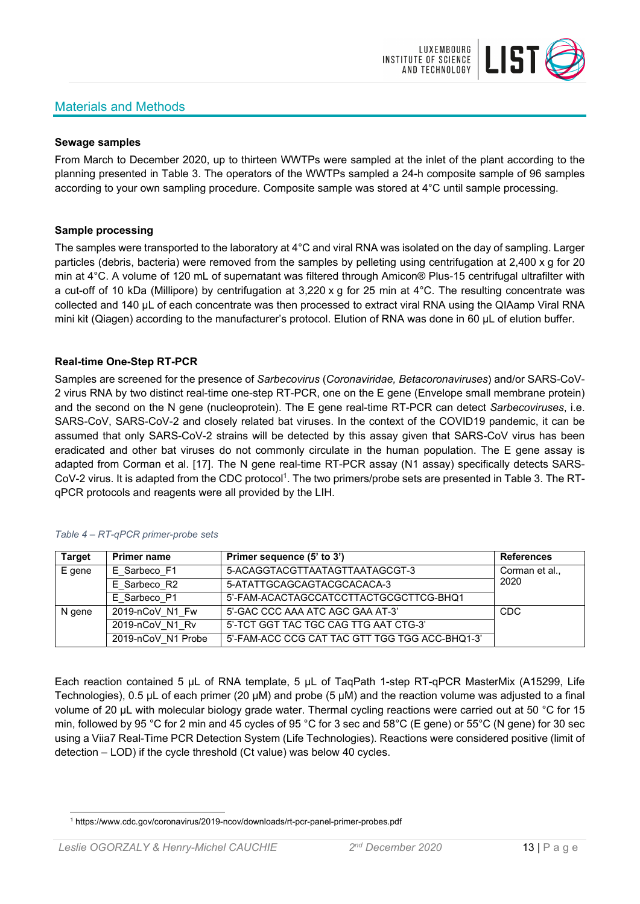# Materials and Methods



### **Sewage samples**

From March to December 2020, up to thirteen WWTPs were sampled at the inlet of the plant according to the planning presented in Table 3. The operators of the WWTPs sampled a 24-h composite sample of 96 samples according to your own sampling procedure. Composite sample was stored at 4°C until sample processing.

### **Sample processing**

The samples were transported to the laboratory at 4°C and viral RNA was isolated on the day of sampling. Larger particles (debris, bacteria) were removed from the samples by pelleting using centrifugation at 2,400 x g for 20 min at 4°C. A volume of 120 mL of supernatant was filtered through Amicon® Plus-15 centrifugal ultrafilter with a cut-off of 10 kDa (Millipore) by centrifugation at 3,220 x g for 25 min at 4°C. The resulting concentrate was collected and 140 µL of each concentrate was then processed to extract viral RNA using the QIAamp Viral RNA mini kit (Qiagen) according to the manufacturer's protocol. Elution of RNA was done in 60 μL of elution buffer.

# **Real-time One-Step RT-PCR**

Samples are screened for the presence of *Sarbecovirus* (*Coronaviridae, Betacoronaviruses*) and/or SARS-CoV-2 virus RNA by two distinct real-time one-step RT-PCR, one on the E gene (Envelope small membrane protein) and the second on the N gene (nucleoprotein). The E gene real-time RT-PCR can detect *Sarbecoviruses*, i.e. SARS-CoV, SARS-CoV-2 and closely related bat viruses. In the context of the COVID19 pandemic, it can be assumed that only SARS-CoV-2 strains will be detected by this assay given that SARS-CoV virus has been eradicated and other bat viruses do not commonly circulate in the human population. The E gene assay is adapted from Corman et al. [17]. The N gene real-time RT-PCR assay (N1 assay) specifically detects SARS-CoV-2 virus. It is adapted from the CDC protocol<sup>1</sup>. The two primers/probe sets are presented in Table 3. The RTqPCR protocols and reagents were all provided by the LIH.

| <b>Target</b> | <b>Primer name</b> | Primer sequence (5' to 3')                     | <b>References</b> |
|---------------|--------------------|------------------------------------------------|-------------------|
| E gene        | E Sarbeco F1       | 5-ACAGGTACGTTAATAGTTAATAGCGT-3                 | Corman et al.,    |
|               | E Sarbeco R2       | 5-ATATTGCAGCAGTACGCACACA-3                     | 2020              |
|               | E Sarbeco P1       | 5'-FAM-ACACTAGCCATCCTTACTGCGCTTCG-BHQ1         |                   |
| N gene        | 2019-nCoV N1 Fw    | 5'-GAC CCC AAA ATC AGC GAA AT-3'               | <b>CDC</b>        |
|               | 2019-nCoV N1 Rv    | 5'-TCT GGT TAC TGC CAG TTG AAT CTG-3'          |                   |
|               | 2019-nCoV N1 Probe | 5'-FAM-ACC CCG CAT TAC GTT TGG TGG ACC-BHQ1-3' |                   |

#### *Table 4 – RT-qPCR primer-probe sets*

Each reaction contained 5 μL of RNA template, 5 μL of TaqPath 1-step RT-qPCR MasterMix (A15299, Life Technologies), 0.5 µL of each primer (20 µM) and probe (5 µM) and the reaction volume was adjusted to a final volume of 20 μL with molecular biology grade water. Thermal cycling reactions were carried out at 50 °C for 15 min, followed by 95 °C for 2 min and 45 cycles of 95 °C for 3 sec and 58°C (E gene) or 55°C (N gene) for 30 sec using a Viia7 Real-Time PCR Detection System (Life Technologies). Reactions were considered positive (limit of detection – LOD) if the cycle threshold (Ct value) was below 40 cycles.

<sup>1</sup> https://www.cdc.gov/coronavirus/2019-ncov/downloads/rt-pcr-panel-primer-probes.pdf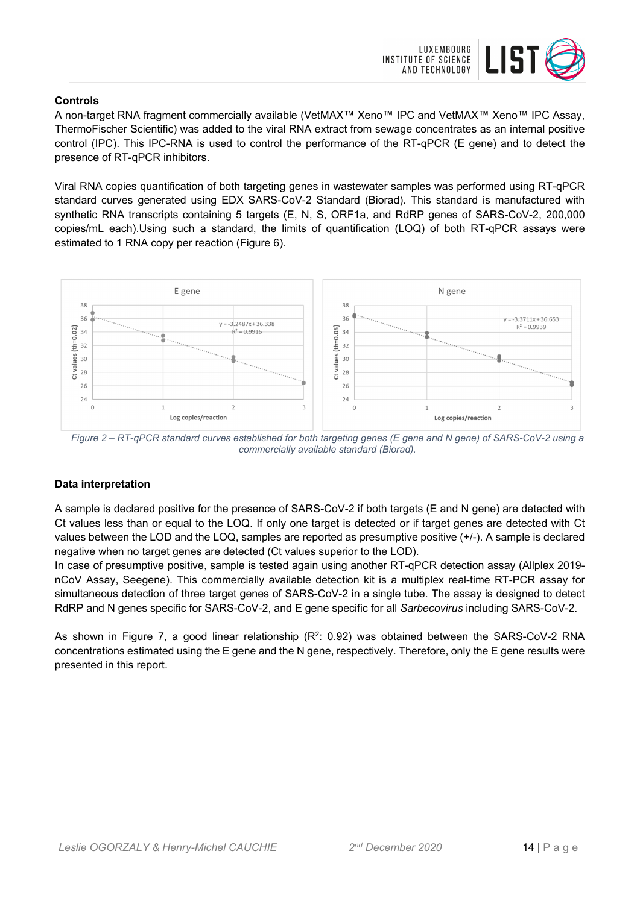

# **Controls**

A non-target RNA fragment commercially available (VetMAX™ Xeno™ IPC and VetMAX™ Xeno™ IPC Assay, ThermoFischer Scientific) was added to the viral RNA extract from sewage concentrates as an internal positive control (IPC). This IPC-RNA is used to control the performance of the RT-qPCR (E gene) and to detect the presence of RT-qPCR inhibitors.

Viral RNA copies quantification of both targeting genes in wastewater samples was performed using RT-qPCR standard curves generated using EDX SARS-CoV-2 Standard (Biorad). This standard is manufactured with synthetic RNA transcripts containing 5 targets (E, N, S, ORF1a, and RdRP genes of SARS-CoV-2, 200,000 copies/mL each).Using such a standard, the limits of quantification (LOQ) of both RT-qPCR assays were estimated to 1 RNA copy per reaction (Figure 6).



*Figure 2 – RT-qPCR standard curves established for both targeting genes (E gene and N gene) of SARS-CoV-2 using a commercially available standard (Biorad).* 

### **Data interpretation**

A sample is declared positive for the presence of SARS-CoV-2 if both targets (E and N gene) are detected with Ct values less than or equal to the LOQ. If only one target is detected or if target genes are detected with Ct values between the LOD and the LOQ, samples are reported as presumptive positive (+/-). A sample is declared negative when no target genes are detected (Ct values superior to the LOD).

In case of presumptive positive, sample is tested again using another RT-qPCR detection assay (Allplex 2019 nCoV Assay, Seegene). This commercially available detection kit is a multiplex real-time RT-PCR assay for simultaneous detection of three target genes of SARS-CoV-2 in a single tube. The assay is designed to detect RdRP and N genes specific for SARS-CoV-2, and E gene specific for all *Sarbecovirus* including SARS-CoV-2.

As shown in Figure 7, a good linear relationship  $(R^2: 0.92)$  was obtained between the SARS-CoV-2 RNA concentrations estimated using the E gene and the N gene, respectively. Therefore, only the E gene results were presented in this report.